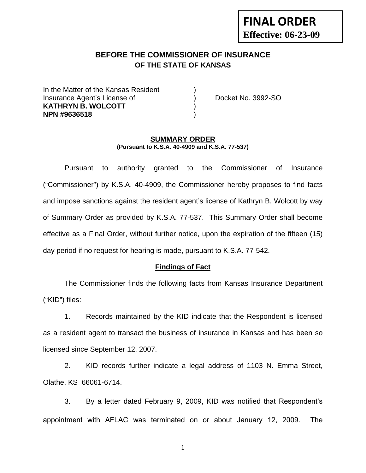# **FINAL ORDER Effective: 06-23-09**

# **BEFORE THE COMMISSIONER OF INSURANCE OF THE STATE OF KANSAS**

In the Matter of the Kansas Resident Insurance Agent's License of ) Docket No. 3992-SO **KATHRYN B. WOLCOTT** ) **NPN #9636518** )

#### **SUMMARY ORDER (Pursuant to K.S.A. 40-4909 and K.S.A. 77-537)**

 Pursuant to authority granted to the Commissioner of Insurance ("Commissioner") by K.S.A. 40-4909, the Commissioner hereby proposes to find facts and impose sanctions against the resident agent's license of Kathryn B. Wolcott by way of Summary Order as provided by K.S.A. 77-537. This Summary Order shall become effective as a Final Order, without further notice, upon the expiration of the fifteen (15) day period if no request for hearing is made, pursuant to K.S.A. 77-542.

#### **Findings of Fact**

 The Commissioner finds the following facts from Kansas Insurance Department ("KID") files:

 1. Records maintained by the KID indicate that the Respondent is licensed as a resident agent to transact the business of insurance in Kansas and has been so licensed since September 12, 2007.

 2. KID records further indicate a legal address of 1103 N. Emma Street, Olathe, KS 66061-6714.

 3. By a letter dated February 9, 2009, KID was notified that Respondent's appointment with AFLAC was terminated on or about January 12, 2009. The

1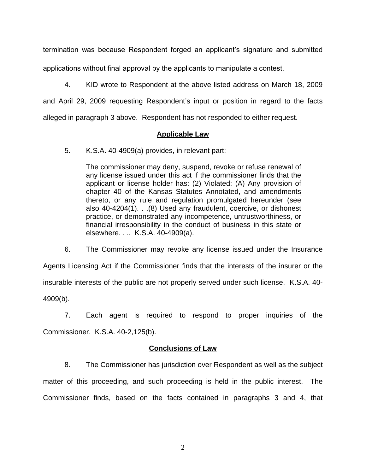termination was because Respondent forged an applicant's signature and submitted applications without final approval by the applicants to manipulate a contest.

 4. KID wrote to Respondent at the above listed address on March 18, 2009 and April 29, 2009 requesting Respondent's input or position in regard to the facts alleged in paragraph 3 above. Respondent has not responded to either request.

### **Applicable Law**

5. K.S.A. 40-4909(a) provides, in relevant part:

The commissioner may deny, suspend, revoke or refuse renewal of any license issued under this act if the commissioner finds that the applicant or license holder has: (2) Violated: (A) Any provision of chapter 40 of the Kansas Statutes Annotated, and amendments thereto, or any rule and regulation promulgated hereunder (see also 40-4204(1). . .(8) Used any fraudulent, coercive, or dishonest practice, or demonstrated any incompetence, untrustworthiness, or financial irresponsibility in the conduct of business in this state or elsewhere. . .. K.S.A. 40-4909(a).

 6. The Commissioner may revoke any license issued under the Insurance Agents Licensing Act if the Commissioner finds that the interests of the insurer or the insurable interests of the public are not properly served under such license. K.S.A. 40- 4909(b).

 7. Each agent is required to respond to proper inquiries of the Commissioner. K.S.A. 40-2,125(b).

### **Conclusions of Law**

 8. The Commissioner has jurisdiction over Respondent as well as the subject matter of this proceeding, and such proceeding is held in the public interest. The Commissioner finds, based on the facts contained in paragraphs 3 and 4, that

2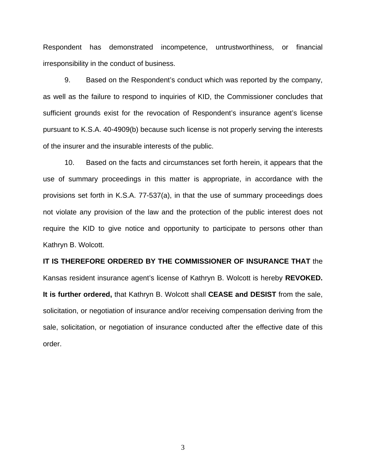Respondent has demonstrated incompetence, untrustworthiness, or financial irresponsibility in the conduct of business.

 9. Based on the Respondent's conduct which was reported by the company, as well as the failure to respond to inquiries of KID, the Commissioner concludes that sufficient grounds exist for the revocation of Respondent's insurance agent's license pursuant to K.S.A. 40-4909(b) because such license is not properly serving the interests of the insurer and the insurable interests of the public.

 10. Based on the facts and circumstances set forth herein, it appears that the use of summary proceedings in this matter is appropriate, in accordance with the provisions set forth in K.S.A. 77-537(a), in that the use of summary proceedings does not violate any provision of the law and the protection of the public interest does not require the KID to give notice and opportunity to participate to persons other than Kathryn B. Wolcott.

**IT IS THEREFORE ORDERED BY THE COMMISSIONER OF INSURANCE THAT** the Kansas resident insurance agent's license of Kathryn B. Wolcott is hereby **REVOKED. It is further ordered,** that Kathryn B. Wolcott shall **CEASE and DESIST** from the sale, solicitation, or negotiation of insurance and/or receiving compensation deriving from the sale, solicitation, or negotiation of insurance conducted after the effective date of this order.

3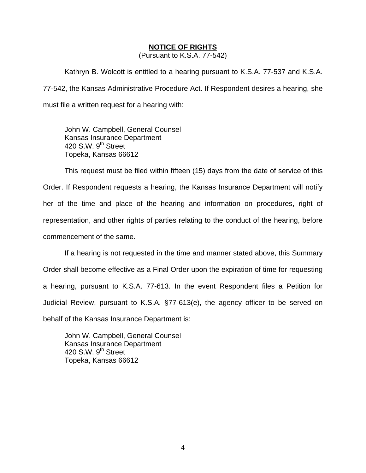#### **NOTICE OF RIGHTS**

(Pursuant to K.S.A. 77-542)

Kathryn B. Wolcott is entitled to a hearing pursuant to K.S.A. 77-537 and K.S.A. 77-542, the Kansas Administrative Procedure Act. If Respondent desires a hearing, she must file a written request for a hearing with:

 John W. Campbell, General Counsel Kansas Insurance Department 420 S.W. 9<sup>th</sup> Street Topeka, Kansas 66612

This request must be filed within fifteen (15) days from the date of service of this Order. If Respondent requests a hearing, the Kansas Insurance Department will notify her of the time and place of the hearing and information on procedures, right of representation, and other rights of parties relating to the conduct of the hearing, before commencement of the same.

If a hearing is not requested in the time and manner stated above, this Summary Order shall become effective as a Final Order upon the expiration of time for requesting a hearing, pursuant to K.S.A. 77-613. In the event Respondent files a Petition for Judicial Review, pursuant to K.S.A. §77-613(e), the agency officer to be served on behalf of the Kansas Insurance Department is:

 John W. Campbell, General Counsel Kansas Insurance Department 420 S.W.  $9<sup>th</sup>$  Street Topeka, Kansas 66612